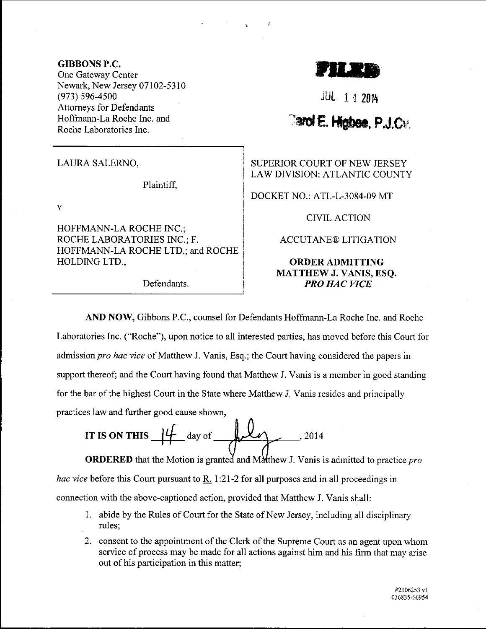## GIBBONS P.C.

One Gateway Center Newark, New Jersey 07102-5310 (973) s96-4500 Attomeys for Defendants Hofftnann-La Roche Inc. and Roche Laboratories Inc.

LAURA SALERNO,

Plaintifl

v.

HOFFMANN-LA ROCHE INC.; ROCHE LABORATORIES INC.; F. HOFFMANN-LA ROCHE LTD.; and ROCHE HOLDINGLTD.,

Defendants.

rUIts

.iul i <sup>4</sup><sup>2014</sup>

## **Carol E. Highee, P.J.Cv.**

SUPERIOR COURT OF NEW JERSEY LAW DIVISION: ATLANTIC COUNTY

DOCKET NO.: ATL-L-3084-09 MT

CIVILACTION

## ACCUTANE@ LITIGATION

## ORDER ADMITTING MATTHEW J. VANIS, ESQ. PRO HAC VICE

AND NOW, Gibbons P.C., counsel for Defendants Hoffmann-La Roche Inc. and Roche Laboratories Inc. ("Roche"), upon notice to all interested parties, has moved before this Court for admission pro hac vice of Matthew J. Vanis, Esq.; the Court having considered the papers in support thereof; and the Court having found that Matthew J. Vanis is a member in good standing for the bar of the highest Court in the State where Matthew J. Vanis resides and principally practices law and further good cause shown,

IT IS ON THIS 
$$
\frac{14}{4}
$$
 day of  $\frac{12}{4}$ 

**ORDERED** that the Motion is granted and Matthew J. Vanis is admitted to practice *pro hac vice* before this Court pursuant to R. 1:21-2 for all purposes and in all proceedings in connection with the above-captioned action, provided that Matthew J. Vanis shall:

- <sup>1</sup>. abide by the Rules of Court for the State of New Jersey, including all disciplinary rules;
- 2. consent to the appointment of the Clerk of the Supreme Court as an agent upon whom service of process may be made for all actions against him and his firm that may arise out of his participation in this matter;